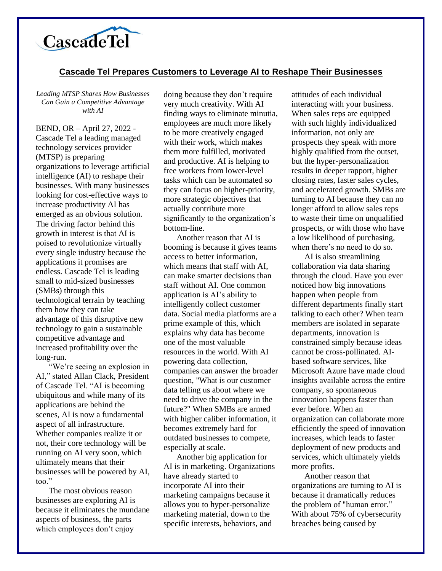

## **Cascade Tel Prepares Customers to Leverage AI to Reshape Their Businesses**

*Leading MTSP Shares How Businesses Can Gain a Competitive Advantage with AI*

BEND, OR – April 27, 2022 - Cascade Tel a leading managed technology services provider (MTSP) is preparing organizations to leverage artificial intelligence (AI) to reshape their businesses. With many businesses looking for cost-effective ways to increase productivity AI has emerged as an obvious solution. The driving factor behind this growth in interest is that AI is poised to revolutionize virtually every single industry because the applications it promises are endless. Cascade Tel is leading small to mid-sized businesses (SMBs) through this technological terrain by teaching them how they can take advantage of this disruptive new technology to gain a sustainable competitive advantage and increased profitability over the long-run.

"We're seeing an explosion in AI," stated Allan Clack, President of Cascade Tel. "AI is becoming ubiquitous and while many of its applications are behind the scenes, AI is now a fundamental aspect of all infrastructure. Whether companies realize it or not, their core technology will be running on AI very soon, which ultimately means that their businesses will be powered by AI, too."

The most obvious reason businesses are exploring AI is because it eliminates the mundane aspects of business, the parts which employees don't enjoy

doing because they don't require very much creativity. With AI finding ways to eliminate minutia, employees are much more likely to be more creatively engaged with their work, which makes them more fulfilled, motivated and productive. AI is helping to free workers from lower-level tasks which can be automated so they can focus on higher-priority, more strategic objectives that actually contribute more significantly to the organization's bottom-line.

Another reason that AI is booming is because it gives teams access to better information, which means that staff with AI, can make smarter decisions than staff without AI. One common application is AI's ability to intelligently collect customer data. Social media platforms are a prime example of this, which explains why data has become one of the most valuable resources in the world. With AI powering data collection, companies can answer the broader question, "What is our customer data telling us about where we need to drive the company in the future?" When SMBs are armed with higher caliber information, it becomes extremely hard for outdated businesses to compete, especially at scale.

Another big application for AI is in marketing. Organizations have already started to incorporate AI into their marketing campaigns because it allows you to hyper-personalize marketing material, down to the specific interests, behaviors, and

attitudes of each individual interacting with your business. When sales reps are equipped with such highly individualized information, not only are prospects they speak with more highly qualified from the outset, but the hyper-personalization results in deeper rapport, higher closing rates, faster sales cycles, and accelerated growth. SMBs are turning to AI because they can no longer afford to allow sales reps to waste their time on unqualified prospects, or with those who have a low likelihood of purchasing, when there's no need to do so.

AI is also streamlining collaboration via data sharing through the cloud. Have you ever noticed how big innovations happen when people from different departments finally start talking to each other? When team members are isolated in separate departments, innovation is constrained simply because ideas cannot be cross-pollinated. AIbased software services, like Microsoft Azure have made cloud insights available across the entire company, so spontaneous innovation happens faster than ever before. When an organization can collaborate more efficiently the speed of innovation increases, which leads to faster deployment of new products and services, which ultimately yields more profits.

Another reason that organizations are turning to AI is because it dramatically reduces the problem of "human error." With about 75% of cybersecurity breaches being caused by